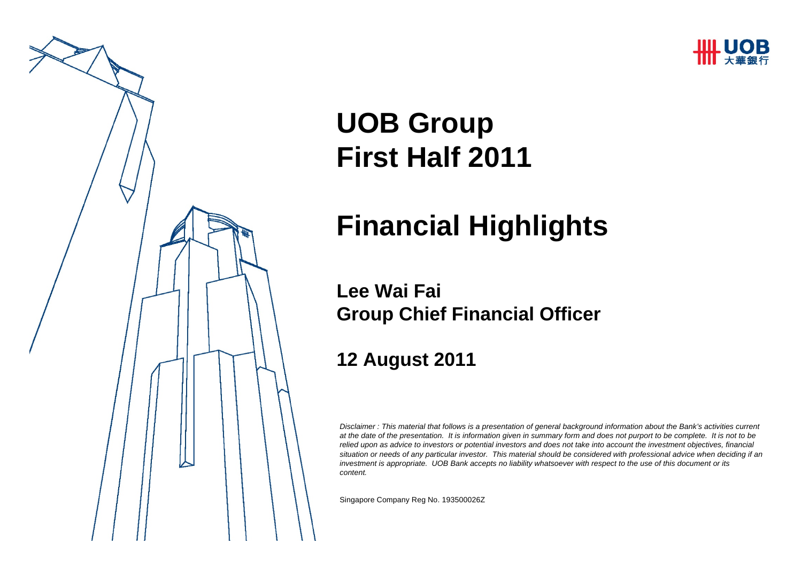



# **UOB Group First Half 2011**

## **Financial Highlights**

#### **Lee Wai FaiGroup Chief Financial Officer**

#### **12 August 2011**

*Disclaimer : This material that follows is a presentation of general background information about the Bank's activities current at the date of the presentation. It is information given in summary form and does not purport to be complete. It is not to be relied upon as advice to investors or potential investors and does not take into account the investment objectives, financial situation or needs of any particular investor. This material should be considered with professional advice when deciding if an investment is appropriate. UOB Bank accepts no liability whatsoever with respect to the use of this document or its content.*

Singapore Company Reg No. 193500026Z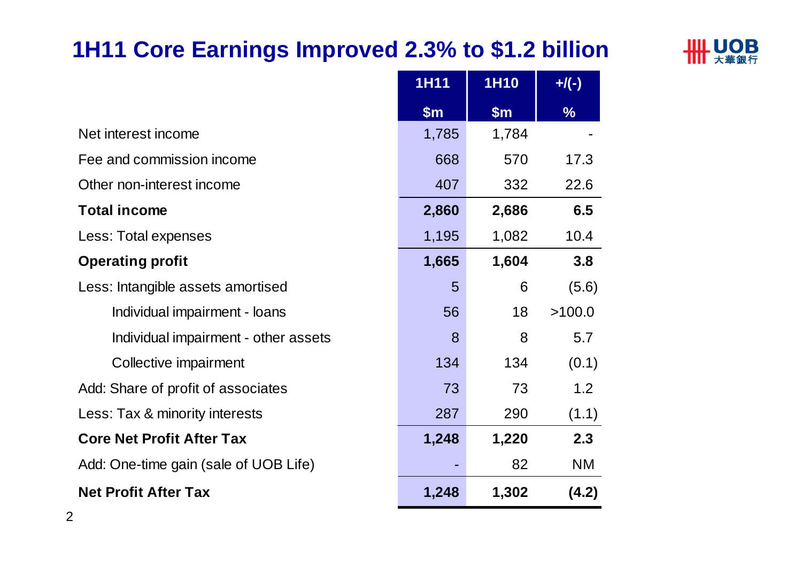## **1H11 Core Earnings Improved 2.3% to \$1.2 billion**



|                                       | <b>1H11</b> | <b>1H10</b> | $+$ /(-)      |
|---------------------------------------|-------------|-------------|---------------|
|                                       | \$m\$       | \$m\$       | $\frac{0}{6}$ |
| Net interest income                   | 1,785       | 1,784       |               |
| Fee and commission income             | 668         | 570         | 17.3          |
| Other non-interest income             | 407         | 332         | 22.6          |
| <b>Total income</b>                   | 2,860       | 2,686       | 6.5           |
| Less: Total expenses                  | 1,195       | 1,082       | 10.4          |
| <b>Operating profit</b>               | 1,665       | 1,604       | 3.8           |
| Less: Intangible assets amortised     | 5           | 6           | (5.6)         |
| Individual impairment - loans         | 56          | 18          | >100.0        |
| Individual impairment - other assets  | 8           | 8           | 5.7           |
| Collective impairment                 | 134         | 134         | (0.1)         |
| Add: Share of profit of associates    | 73          | 73          | 1.2           |
| Less: Tax & minority interests        | 287         | 290         | (1.1)         |
| <b>Core Net Profit After Tax</b>      | 1,248       | 1,220       | 2.3           |
| Add: One-time gain (sale of UOB Life) |             | 82          | <b>NM</b>     |
| <b>Net Profit After Tax</b>           | 1,248       | 1,302       | (4.2)         |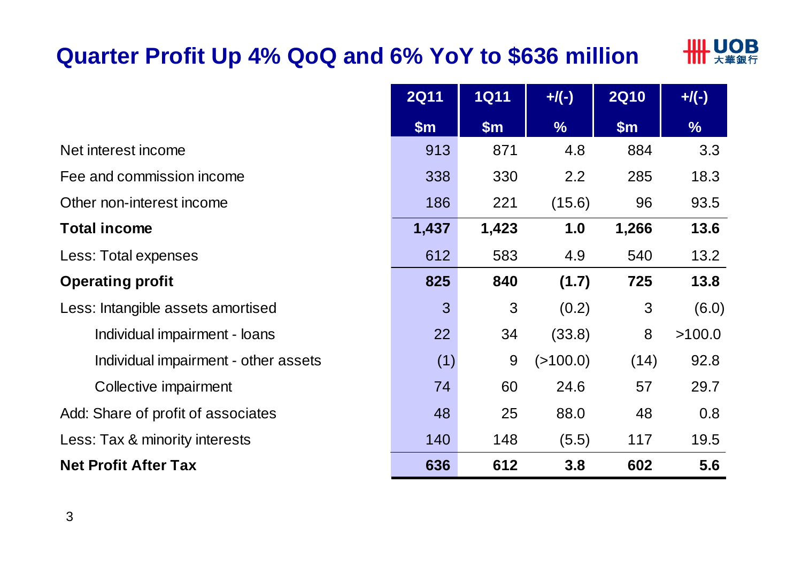### **Quarter Profit Up 4% QoQ and 6% YoY to \$636 million**



|                                      | <b>2Q11</b>    | <b>1Q11</b> | $+$ / $($ - $)$ | <b>2Q10</b> | $+$ /(-)      |
|--------------------------------------|----------------|-------------|-----------------|-------------|---------------|
|                                      | \$m\$          | \$m\$       | $\frac{1}{2}$   | \$m\$       | $\frac{9}{6}$ |
| Net interest income                  | 913            | 871         | 4.8             | 884         | 3.3           |
| Fee and commission income            | 338            | 330         | 2.2             | 285         | 18.3          |
| Other non-interest income            | 186            | 221         | (15.6)          | 96          | 93.5          |
| <b>Total income</b>                  | 1,437          | 1,423       | 1.0             | 1,266       | 13.6          |
| Less: Total expenses                 | 612            | 583         | 4.9             | 540         | 13.2          |
| <b>Operating profit</b>              | 825            | 840         | (1.7)           | 725         | 13.8          |
| Less: Intangible assets amortised    | $\overline{3}$ | 3           | (0.2)           | 3           | (6.0)         |
| Individual impairment - loans        | 22             | 34          | (33.8)          | 8           | >100.0        |
| Individual impairment - other assets | (1)            | 9           | ( > 100.0)      | (14)        | 92.8          |
| Collective impairment                | 74             | 60          | 24.6            | 57          | 29.7          |
| Add: Share of profit of associates   | 48             | 25          | 88.0            | 48          | 0.8           |
| Less: Tax & minority interests       | 140            | 148         | (5.5)           | 117         | 19.5          |
| <b>Net Profit After Tax</b>          | 636            | 612         | 3.8             | 602         | 5.6           |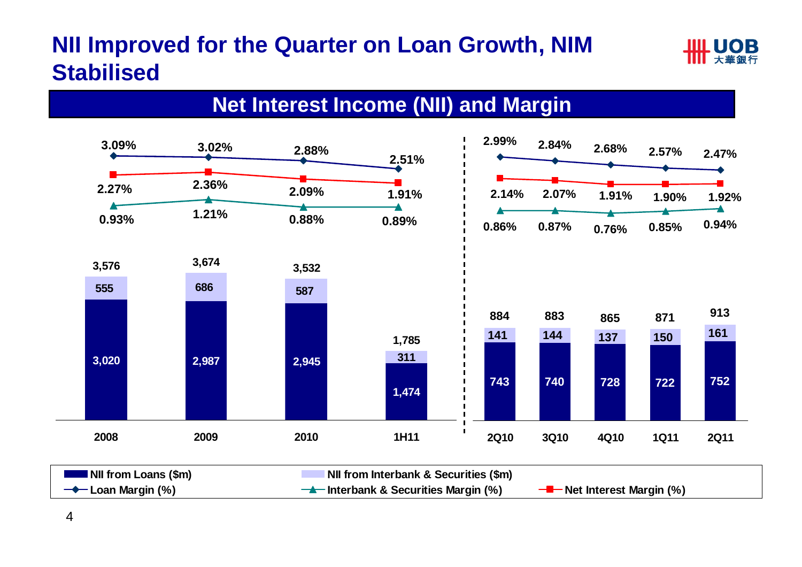## **NII Improved for the Quarter on Loan Growth, NIM Stabilised**



#### **Net Interest Income (NII) and Margin**



| <b>Allena</b> NII from Loans (\$m) | <b>NII from Interbank &amp; Securities (\$m)</b> |                                            |
|------------------------------------|--------------------------------------------------|--------------------------------------------|
| $\rightarrow$ Loan Margin (%)      | $\rightarrow$ Interbank & Securities Margin (%)  | — <mark>—</mark> — Net Interest Margin (%) |

4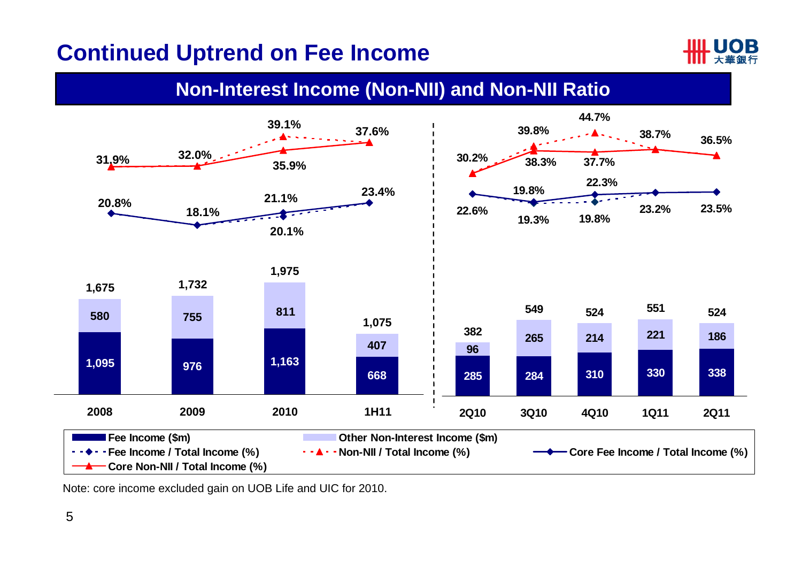#### **Continued Uptrend on Fee Income**



#### **Non-Interest Income (Non-NII) and Non-NII Ratio**



Note: core income excluded gain on UOB Life and UIC for 2010.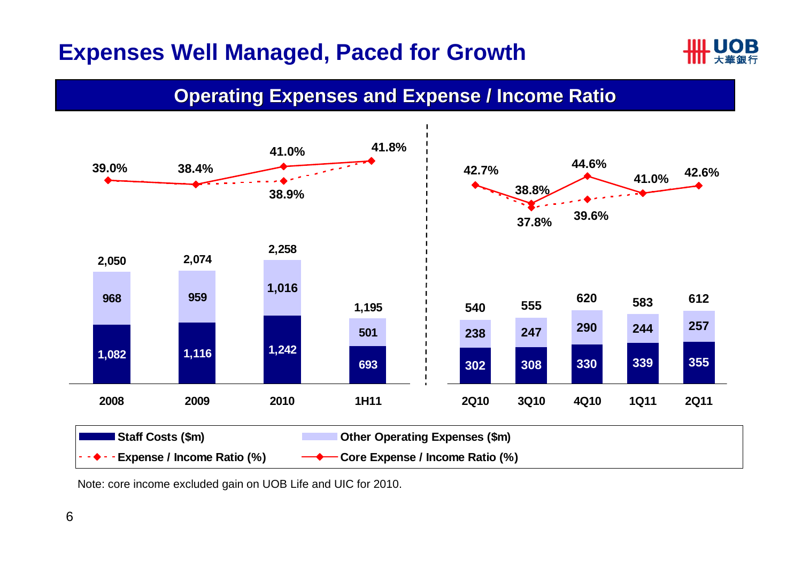#### **Expenses Well Managed, Paced for Growth**



#### **Operating Expenses and Expense / Income Ratio**



Note: core income excluded gain on UOB Life and UIC for 2010.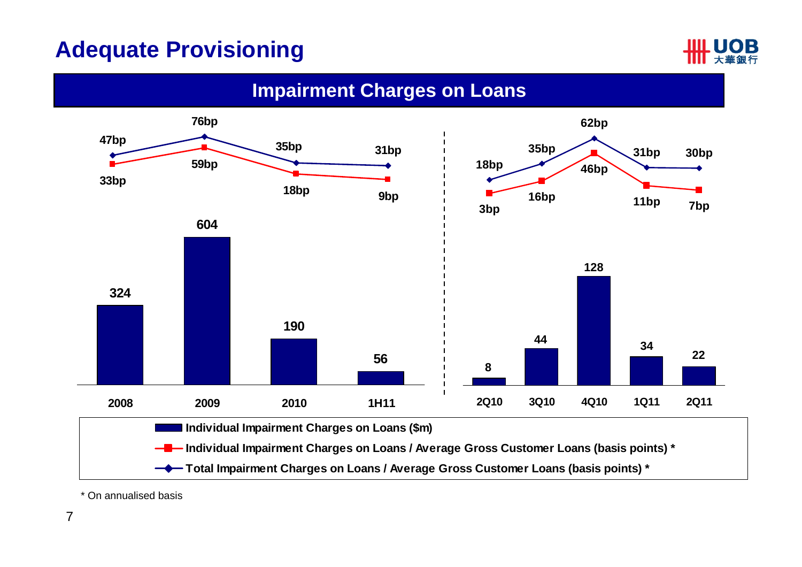## **Adequate Provisioning**



**Impairment Charges on Loans**



\* On annualised basis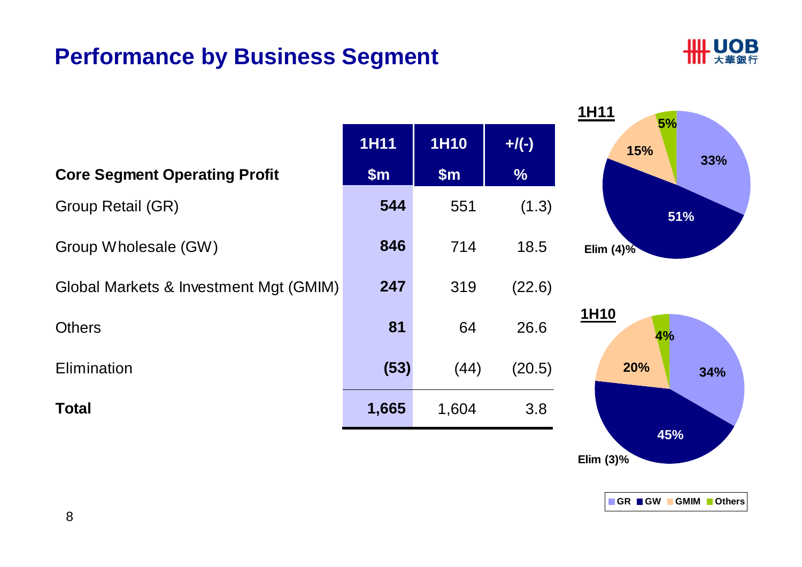#### **Performance by Business Segment**



|                                        |             |             |               | 1H11<br>5%   |
|----------------------------------------|-------------|-------------|---------------|--------------|
|                                        | <b>1H11</b> | <b>1H10</b> | $+$ /(-)      | 15%<br>33%   |
| <b>Core Segment Operating Profit</b>   | \$m\$       | \$m\$       | $\frac{9}{6}$ |              |
| Group Retail (GR)                      | 544         | 551         | (1.3)         | 51%          |
| Group Wholesale (GW)                   | 846         | 714         | 18.5          | Elim $(4)$ % |
| Global Markets & Investment Mgt (GMIM) | 247         | 319         | (22.6)        |              |
| <b>Others</b>                          | 81          | 64          | 26.6          | 1H10<br>4%   |
| Elimination                            | (53)        | (44)        | (20.5)        | 20%<br>34%   |
| <b>Total</b>                           | 1,665       | 1,604       | 3.8           | 45%          |

**Elim (3)%**

**GR GW GMIM Others**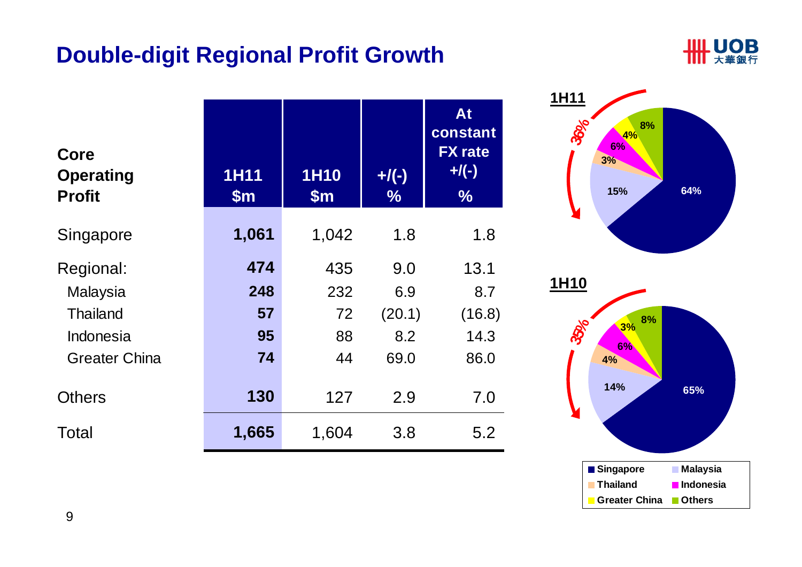#### **Double-digit Regional Profit Growth**



| Core<br><b>Operating</b><br><b>Profit</b> | <b>1H11</b><br>$\mathsf{Sm}$ | <b>1H10</b><br>$\mathsf{Sm}$ | $+$ /(-)<br>$\frac{9}{6}$ | At<br>constant<br><b>FX</b> rate<br>$+$ /(-)<br>$\frac{9}{6}$ |
|-------------------------------------------|------------------------------|------------------------------|---------------------------|---------------------------------------------------------------|
| Singapore                                 | 1,061                        | 1,042                        | 1.8                       | 1.8                                                           |
| Regional:                                 | 474                          | 435                          | 9.0                       | 13.1                                                          |
| Malaysia                                  | 248                          | 232                          | 6.9                       | 8.7                                                           |
| <b>Thailand</b>                           | 57                           | 72                           | (20.1)                    | (16.8)                                                        |
| Indonesia                                 | 95                           | 88                           | 8.2                       | 14.3                                                          |
| <b>Greater China</b>                      | 74                           | 44                           | 69.0                      | 86.0                                                          |
| <b>Others</b>                             | 130                          | 127                          | 2.9                       | 7.0                                                           |
| Total                                     | 1,665                        | 1,604                        | 3.8                       | 5.2                                                           |

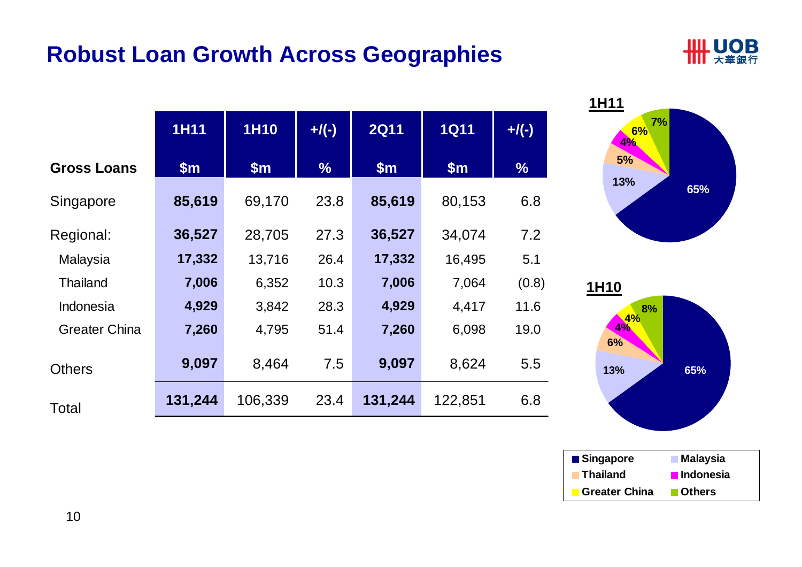#### **Robust Loan Growth Across Geographies**









**Others**

**Greater China**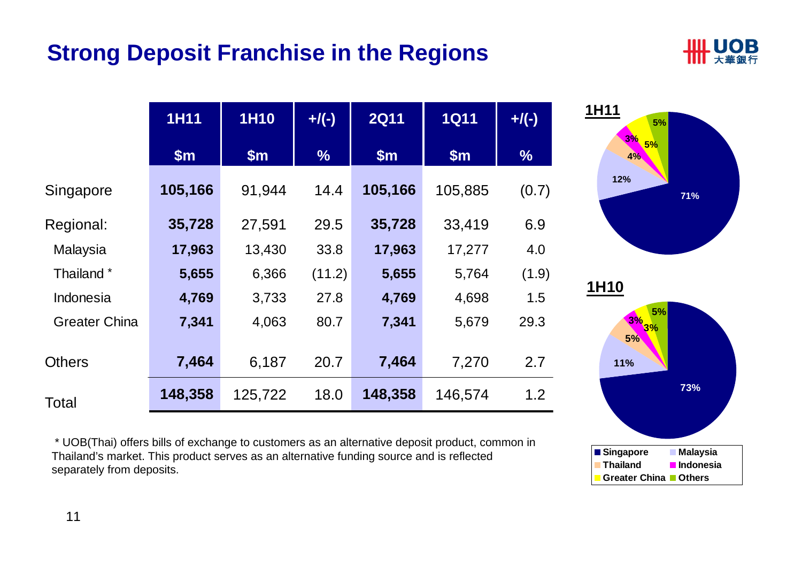#### **Strong Deposit Franchise in the Regions**









\* UOB(Thai) offers bills of exchange to customers as an alternative deposit product, common in Thailand's market. This product serves as an alternative funding source and is reflected separately from deposits.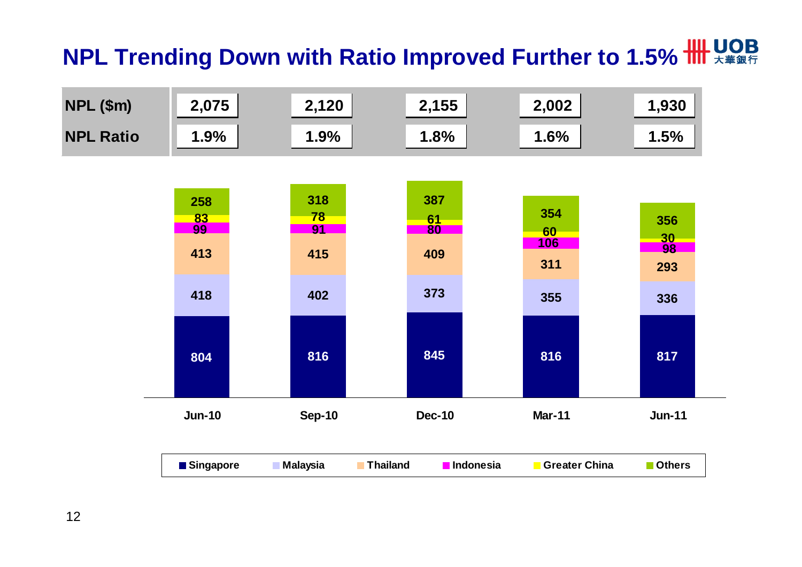# **NPL Trending Down with Ratio Improved Further to 1.5% HII X# 867**

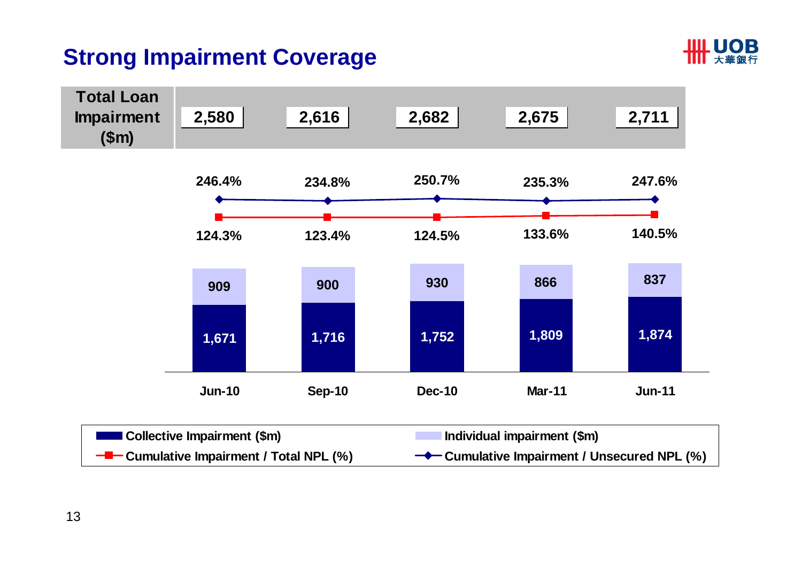#### **Strong Impairment Coverage**



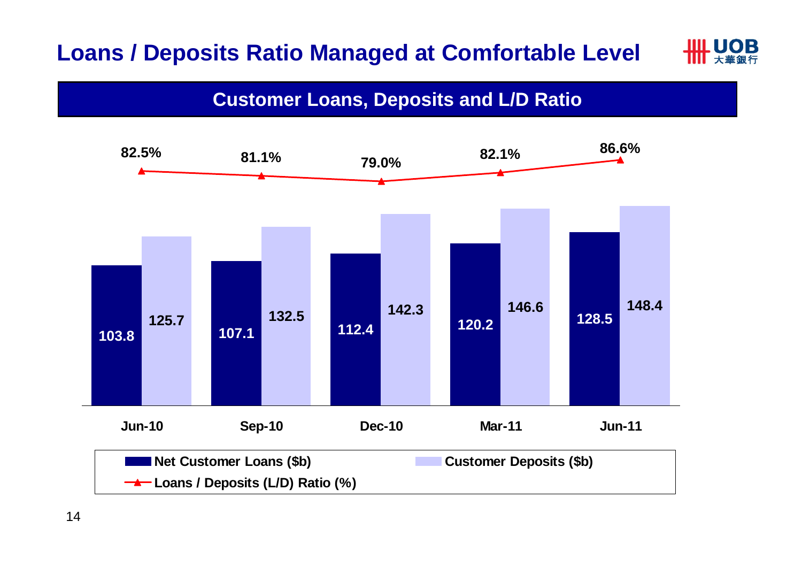#### **Loans / Deposits Ratio Managed at Comfortable Level**

## **IIIL UOB**

#### **Customer Loans, Deposits and L/D Ratio**

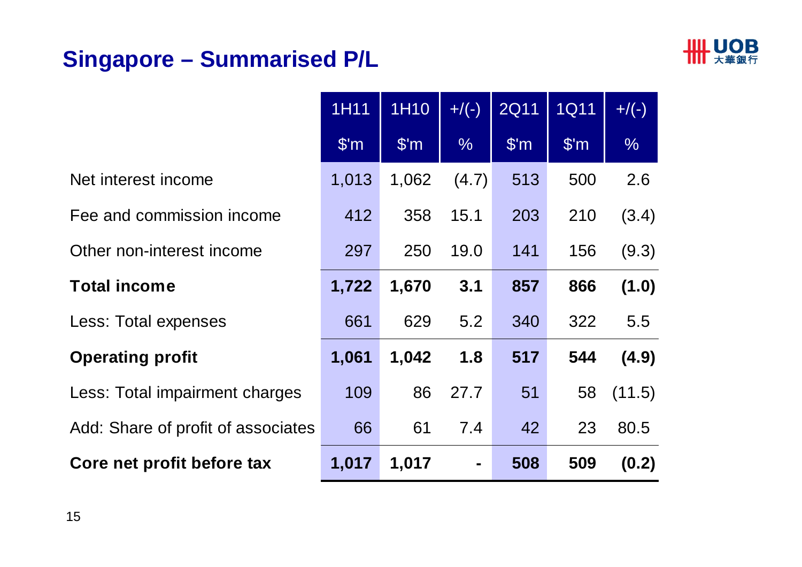## **Singapore – Summarised P/L**



|                                    | 1H11                    | 1H10          | $+/(-)$        | <b>2Q11</b>             | <b>1Q11</b>   | $+/(-)$       |
|------------------------------------|-------------------------|---------------|----------------|-------------------------|---------------|---------------|
|                                    | $\mathsf{S}'\mathsf{m}$ | $\sqrt{\$'m}$ | $\frac{0}{6}$  | $\mathsf{S}'\mathsf{m}$ | $\sqrt{\$'m}$ | $\frac{9}{6}$ |
| Net interest income                | 1,013                   | 1,062         | (4.7)          | 513                     | 500           | 2.6           |
| Fee and commission income          | 412                     | 358           | 15.1           | 203                     | 210           | (3.4)         |
| Other non-interest income          | 297                     | 250           | 19.0           | 141                     | 156           | (9.3)         |
| <b>Total income</b>                | 1,722                   | 1,670         | 3.1            | 857                     | 866           | (1.0)         |
| Less: Total expenses               | 661                     | 629           | 5.2            | 340                     | 322           | 5.5           |
| <b>Operating profit</b>            | 1,061                   | 1,042         | 1.8            | 517                     | 544           | (4.9)         |
| Less: Total impairment charges     | 109                     | 86            | 27.7           | 51                      | 58            | (11.5)        |
| Add: Share of profit of associates | 66                      | 61            | 7.4            | 42                      | 23            | 80.5          |
| Core net profit before tax         | 1,017                   | 1,017         | $\blacksquare$ | 508                     | 509           | (0.2)         |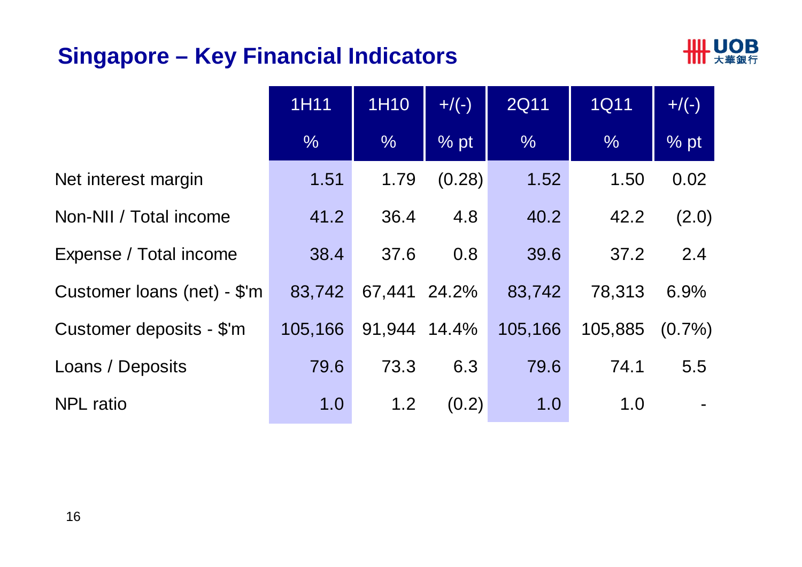#### **Singapore – Key Financial Indicators**



|                             | 1H11          | 1H10         | $+/(-)$ |               | <b>1Q11</b> | $+/(-)$        |
|-----------------------------|---------------|--------------|---------|---------------|-------------|----------------|
|                             | $\frac{0}{6}$ | $\%$         | $%$ pt  | $\frac{0}{6}$ | $\%$        | $%$ pt         |
| Net interest margin         | 1.51          | 1.79         | (0.28)  | 1.52          | 1.50        | 0.02           |
| Non-NII / Total income      | 41.2          | 36.4         | 4.8     | 40.2          | 42.2        | (2.0)          |
| Expense / Total income      | 38.4          | 37.6         | 0.8     | 39.6          | 37.2        | 2.4            |
| Customer loans (net) - \$'m | 83,742        | 67,441 24.2% |         | 83,742        | 78,313      | 6.9%           |
| Customer deposits - \$'m    | 105,166       | 91,944 14.4% |         | 105,166       | 105,885     | $(0.7\%)$      |
| Loans / Deposits            | 79.6          | 73.3         | 6.3     | 79.6          | 74.1        | 5.5            |
| <b>NPL</b> ratio            | 1.0           | 1.2          | (0.2)   | 1.0           | 1.0         | $\blacksquare$ |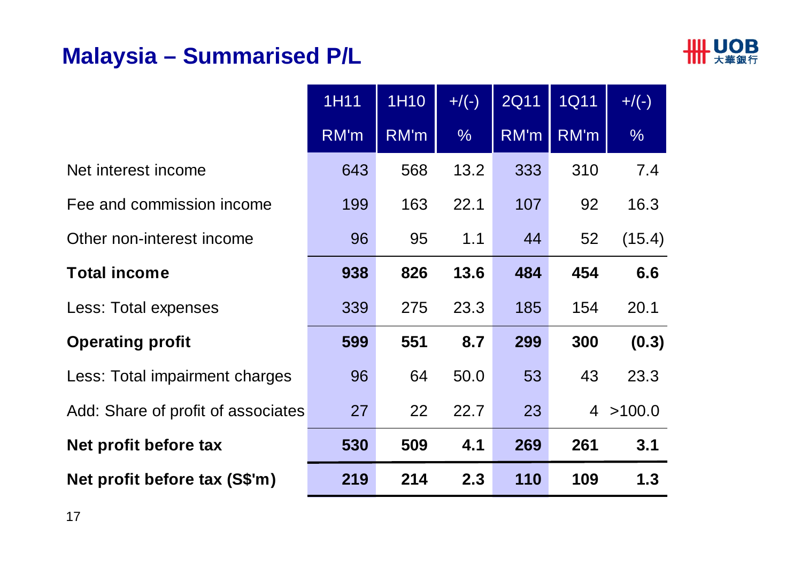## **Malaysia – Summarised P/L**



|                                    | 1H11 | 1H <sub>10</sub> | $+/(-)$       | <b>2Q11</b> | <b>1Q11</b> | $+/(-)$       |
|------------------------------------|------|------------------|---------------|-------------|-------------|---------------|
|                                    | RM'm | RM'm             | $\frac{0}{6}$ | RM'm        | RM'm        | $\frac{9}{6}$ |
| Net interest income                | 643  | 568              | 13.2          | 333         | 310         | 7.4           |
| Fee and commission income          | 199  | 163              | 22.1          | 107         | 92          | 16.3          |
| Other non-interest income          | 96   | 95               | 1.1           | 44          | 52          | (15.4)        |
| <b>Total income</b>                | 938  | 826              | 13.6          | 484         | 454         | 6.6           |
| Less: Total expenses               | 339  | 275              | 23.3          | 185         | 154         | 20.1          |
| <b>Operating profit</b>            | 599  | 551              | 8.7           | 299         | 300         | (0.3)         |
| Less: Total impairment charges     | 96   | 64               | 50.0          | 53          | 43          | 23.3          |
| Add: Share of profit of associates | 27   | 22               | 22.7          | 23          |             | 4 > 100.0     |
| Net profit before tax              | 530  | 509              | 4.1           | 269         | 261         | 3.1           |
| Net profit before tax (S\$'m)      | 219  | 214              | 2.3           | 110         | 109         | 1.3           |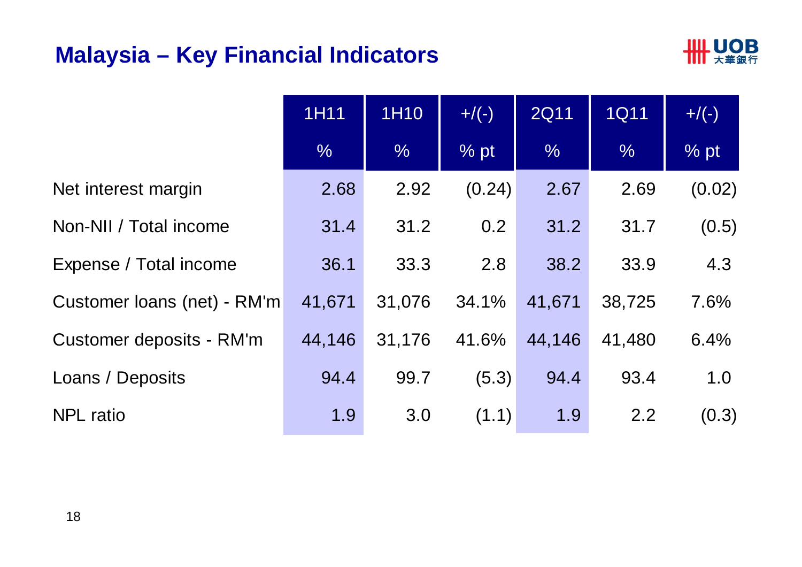#### **Malaysia – Key Financial Indicators**



|                             | 1H11          | 1H10          | $+/(-)$ | <b>2Q11</b>   | <b>1Q11</b>   | $+/(-)$ |
|-----------------------------|---------------|---------------|---------|---------------|---------------|---------|
|                             | $\frac{0}{6}$ | $\frac{0}{6}$ | % pt    | $\frac{9}{6}$ | $\frac{9}{6}$ | % pt    |
| Net interest margin         | 2.68          | 2.92          | (0.24)  | 2.67          | 2.69          | (0.02)  |
| Non-NII / Total income      | 31.4          | 31.2          | 0.2     | 31.2          | 31.7          | (0.5)   |
| Expense / Total income      | 36.1          | 33.3          | 2.8     | 38.2          | 33.9          | 4.3     |
| Customer loans (net) - RM'm | 41,671        | 31,076        | 34.1%   | 41,671        | 38,725        | 7.6%    |
| Customer deposits - RM'm    | 44,146        | 31,176        | 41.6%   | 44,146        | 41,480        | 6.4%    |
| Loans / Deposits            | 94.4          | 99.7          | (5.3)   | 94.4          | 93.4          | 1.0     |
| <b>NPL</b> ratio            | 1.9           | 3.0           | (1.1)   | 1.9           | 2.2           | (0.3)   |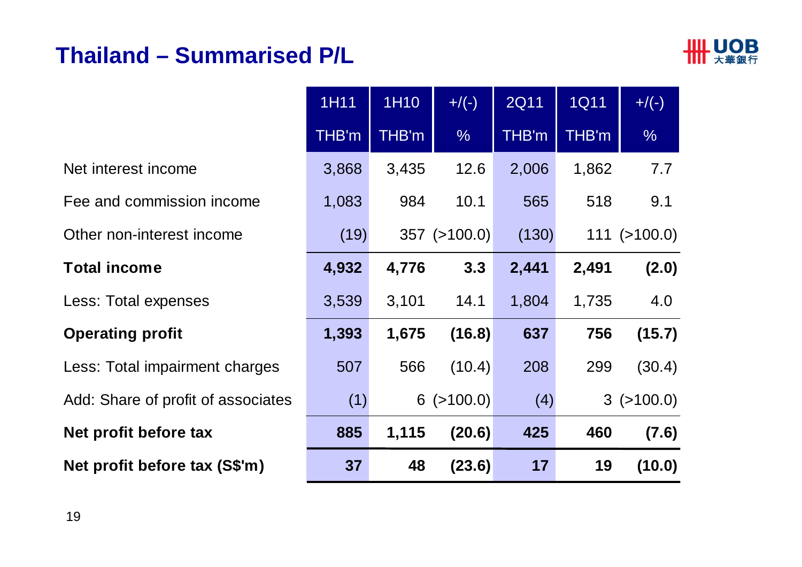#### **Thailand – Summarised P/L**



|                                    | 1H11  | 1H10  | $+/(-)$            | <b>2Q11</b> | <b>1Q11</b> | $+/(-)$           |
|------------------------------------|-------|-------|--------------------|-------------|-------------|-------------------|
|                                    | THB'm | THB'm | $\frac{9}{6}$      | THB'm       | THB'm       | $\frac{1}{2}$     |
| Net interest income                | 3,868 | 3,435 | 12.6               | 2,006       | 1,862       | 7.7               |
| Fee and commission income          | 1,083 | 984   | 10.1               | 565         | 518         | 9.1               |
| Other non-interest income          | (19)  |       | $357$ ( $>100.0$ ) | (130)       |             | $111 \ ( >100.0)$ |
| <b>Total income</b>                | 4,932 | 4,776 | 3.3                | 2,441       | 2,491       | (2.0)             |
| Less: Total expenses               | 3,539 | 3,101 | 14.1               | 1,804       | 1,735       | 4.0               |
| <b>Operating profit</b>            | 1,393 | 1,675 | (16.8)             | 637         | 756         | (15.7)            |
| Less: Total impairment charges     | 507   | 566   | (10.4)             | 208         | 299         | (30.4)            |
| Add: Share of profit of associates | (1)   |       | $6$ ( $>100.0$ )   | (4)         |             | $3$ ( $>100.0$ )  |
| Net profit before tax              | 885   | 1,115 | (20.6)             | 425         | 460         | (7.6)             |
| Net profit before tax (S\$'m)      | 37    | 48    | (23.6)             | 17          | 19          | (10.0)            |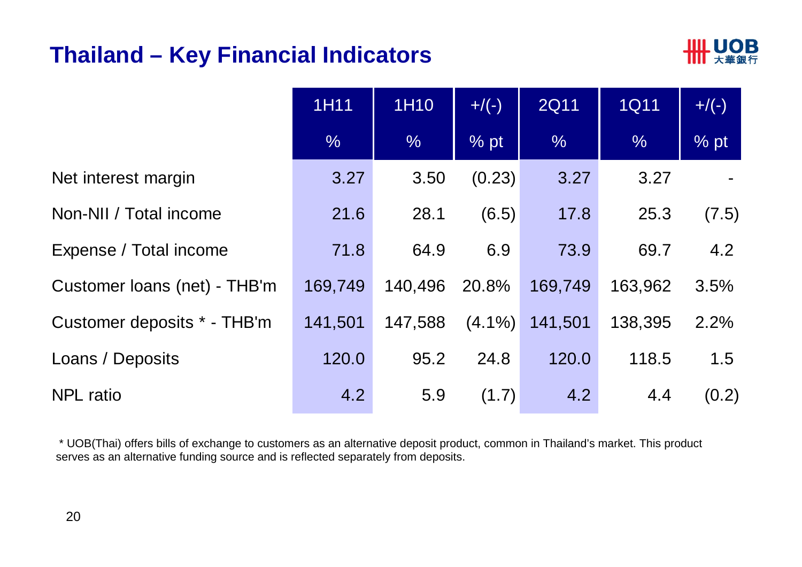#### **Thailand – Key Financial Indicators**



|                              | 1H11          | 1H10          | $+/(-)$   | <b>2Q11</b>   | <b>1Q11</b>   | $+/(-)$ |
|------------------------------|---------------|---------------|-----------|---------------|---------------|---------|
|                              | $\frac{0}{6}$ | $\frac{0}{6}$ | $%$ pt    | $\frac{0}{6}$ | $\frac{0}{6}$ | % pt    |
| Net interest margin          | 3.27          | 3.50          | (0.23)    | 3.27          | 3.27          |         |
| Non-NII / Total income       | 21.6          | 28.1          | (6.5)     | 17.8          | 25.3          | (7.5)   |
| Expense / Total income       | 71.8          | 64.9          | 6.9       | 73.9          | 69.7          | 4.2     |
| Customer Ioans (net) - THB'm | 169,749       | 140,496       | 20.8%     | 169,749       | 163,962       | 3.5%    |
| Customer deposits * - THB'm  | 141,501       | 147,588       | $(4.1\%)$ | 141,501       | 138,395       | 2.2%    |
| Loans / Deposits             | 120.0         | 95.2          | 24.8      | 120.0         | 118.5         | 1.5     |
| <b>NPL</b> ratio             | 4.2           | 5.9           | (1.7)     | 4.2           | 4.4           | (0.2)   |

\* UOB(Thai) offers bills of exchange to customers as an alternative deposit product, common in Thailand's market. This product serves as an alternative funding source and is reflected separately from deposits.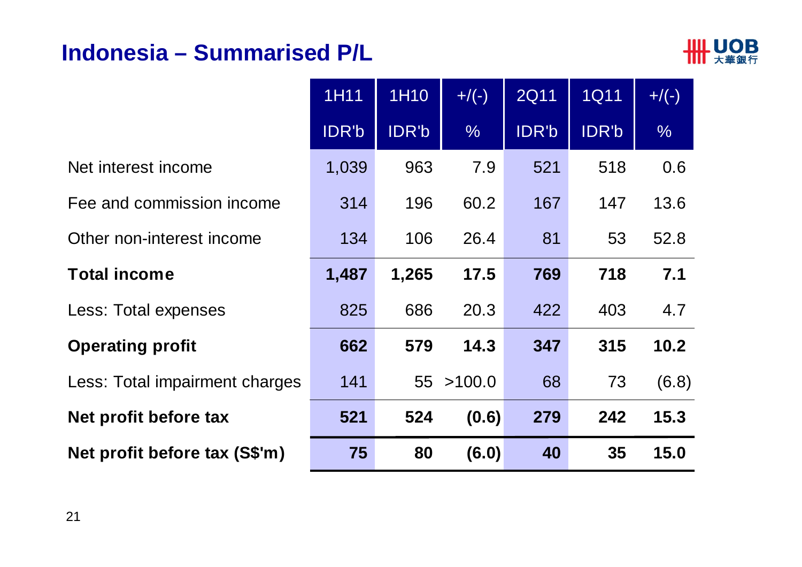#### **Indonesia – Summarised P/L**



|                                | 1H11  | 1H10  | $+/(-)$       | <b>2Q11</b> | <b>1Q11</b> | $+/(-)$       |
|--------------------------------|-------|-------|---------------|-------------|-------------|---------------|
|                                | IDR'b | IDR'b | $\frac{0}{6}$ | IDR'b       | IDR'b       | $\frac{0}{6}$ |
| Net interest income            | 1,039 | 963   | 7.9           | 521         | 518         | 0.6           |
| Fee and commission income      | 314   | 196   | 60.2          | 167         | 147         | 13.6          |
| Other non-interest income      | 134   | 106   | 26.4          | 81          | 53          | 52.8          |
| <b>Total income</b>            | 1,487 | 1,265 | 17.5          | 769         | 718         | 7.1           |
| Less: Total expenses           | 825   | 686   | 20.3          | 422         | 403         | 4.7           |
| <b>Operating profit</b>        | 662   | 579   | 14.3          | 347         | 315         | 10.2          |
| Less: Total impairment charges | 141   | 55    | >100.0        | 68          | 73          | (6.8)         |
| Net profit before tax          | 521   | 524   | (0.6)         | 279         | 242         | 15.3          |
| Net profit before tax (S\$'m)  | 75    | 80    | (6.0)         | 40          | 35          | 15.0          |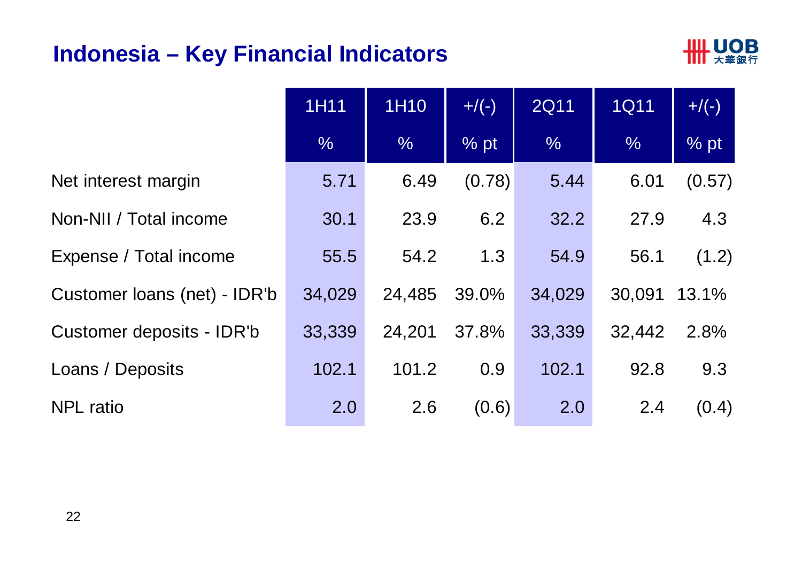#### **Indonesia – Key Financial Indicators**



|                              | 1H11          | 1H10          | $+/(-)$ | <b>2Q11</b>   | <b>1Q11</b>   | $+/(-)$          |
|------------------------------|---------------|---------------|---------|---------------|---------------|------------------|
|                              | $\frac{0}{0}$ | $\frac{0}{6}$ | $%$ pt  | $\frac{0}{6}$ | $\frac{0}{6}$ | $\frac{9}{6}$ pt |
| Net interest margin          | 5.71          | 6.49          | (0.78)  | 5.44          | 6.01          | (0.57)           |
| Non-NII / Total income       | 30.1          | 23.9          | 6.2     | 32.2          | 27.9          | 4.3              |
| Expense / Total income       | 55.5          | 54.2          | 1.3     | 54.9          | 56.1          | (1.2)            |
| Customer loans (net) - IDR'b | 34,029        | 24,485        | 39.0%   | 34,029        | 30,091        | 13.1%            |
| Customer deposits - IDR'b    | 33,339        | 24,201        | 37.8%   | 33,339        | 32,442        | 2.8%             |
| Loans / Deposits             | 102.1         | 101.2         | 0.9     | 102.1         | 92.8          | 9.3              |
| <b>NPL</b> ratio             | 2.0           | 2.6           | (0.6)   | 2.0           | 2.4           | (0.4)            |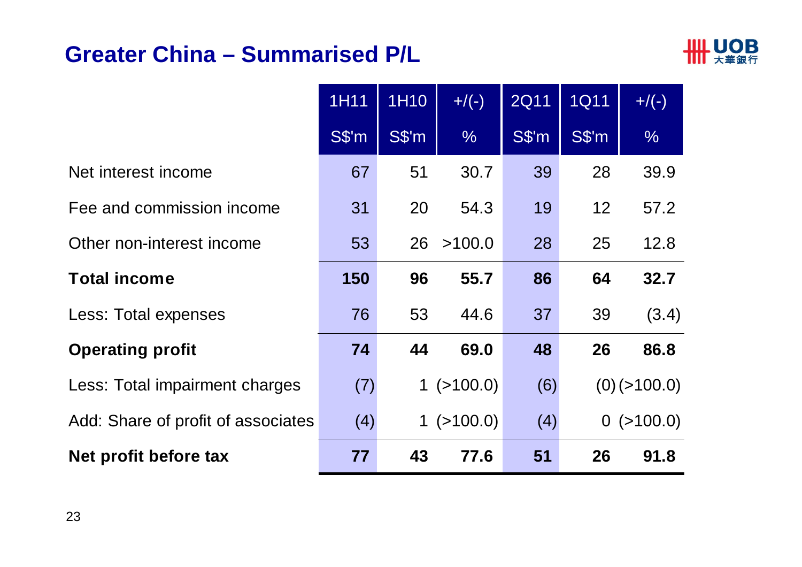#### **Greater China – Summarised P/L**



|                                    | 1H11  | 1H10       | $+/(-)$      | <b>2Q11</b> | <b>1Q11</b> | $+/(-)$        |
|------------------------------------|-------|------------|--------------|-------------|-------------|----------------|
|                                    | S\$'m | $S\$ {S'm} | $\%$         | $S\$ {m}    | $S\$ {m}    | $\%$           |
| Net interest income                | 67    | 51         | 30.7         | 39          | 28          | 39.9           |
| Fee and commission income          | 31    | 20         | 54.3         | 19          | 12          | 57.2           |
| Other non-interest income          | 53    | 26         | >100.0       | 28          | 25          | 12.8           |
| <b>Total income</b>                | 150   | 96         | 55.7         | 86          | 64          | 32.7           |
| Less: Total expenses               | 76    | 53         | 44.6         | 37          | 39          | (3.4)          |
| <b>Operating profit</b>            | 74    | 44         | 69.0         | 48          | 26          | 86.8           |
| Less: Total impairment charges     | (7)   |            | $1$ (>100.0) | (6)         |             | $(0)$ (>100.0) |
| Add: Share of profit of associates | (4)   |            | 1(>100.0)    | (4)         |             | $0$ (>100.0)   |
| Net profit before tax              | 77    | 43         | 77.6         | 51          | 26          | 91.8           |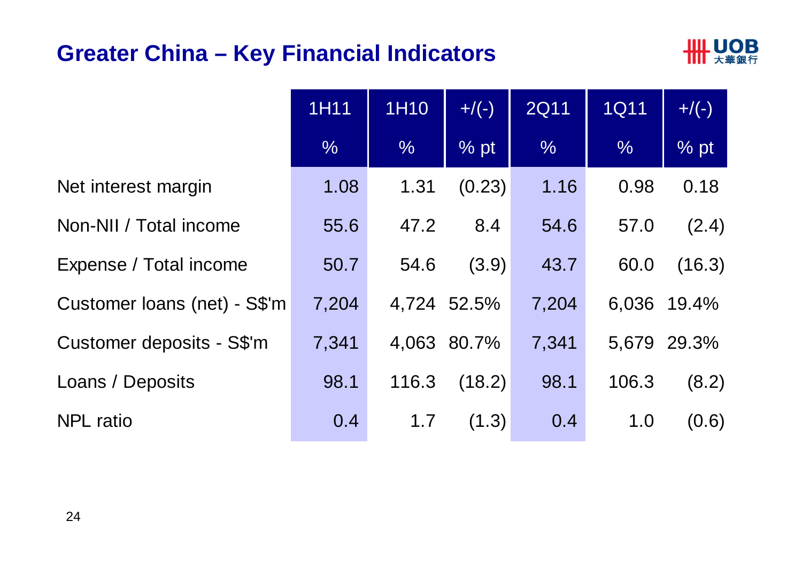#### **Greater China – Key Financial Indicators**



|                              | 1H11          | 1H10  | $+/(-)$     | <b>2Q11</b> | <b>1Q11</b> | $+/(-)$     |
|------------------------------|---------------|-------|-------------|-------------|-------------|-------------|
|                              | $\frac{0}{6}$ | $\%$  | $%$ pt      | $\%$        | $\%$        | % pt        |
| Net interest margin          | 1.08          | 1.31  | (0.23)      | 1.16        | 0.98        | 0.18        |
| Non-NII / Total income       | 55.6          | 47.2  | 8.4         | 54.6        | 57.0        | (2.4)       |
| Expense / Total income       | 50.7          | 54.6  | (3.9)       | 43.7        | 60.0        | (16.3)      |
| Customer Ioans (net) - S\$'m | 7,204         |       | 4,724 52.5% | 7,204       |             | 6,036 19.4% |
| Customer deposits - S\$'m    | 7,341         |       | 4,063 80.7% | 7,341       |             | 5,679 29.3% |
| Loans / Deposits             | 98.1          | 116.3 | (18.2)      | 98.1        | 106.3       | (8.2)       |
| <b>NPL</b> ratio             | 0.4           | 1.7   | (1.3)       | 0.4         | 1.0         | (0.6)       |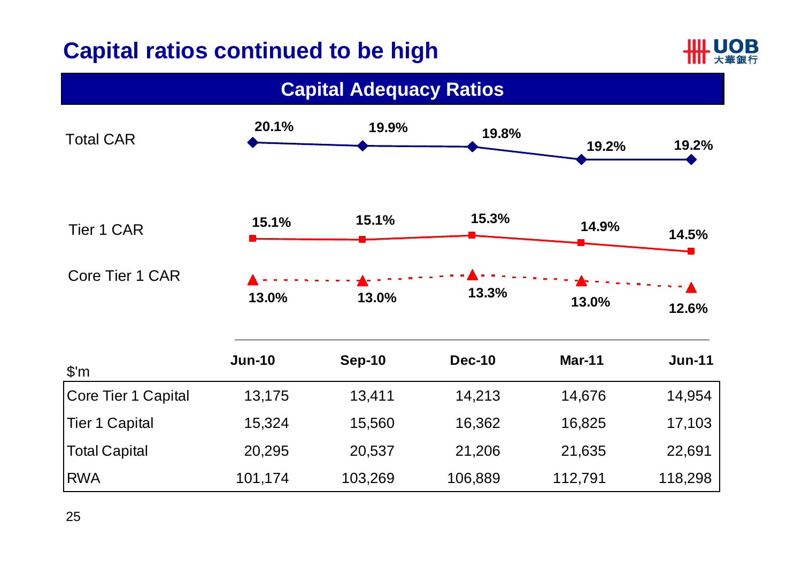#### **Capital ratios continued to be high**



| <b>Capital Adequacy Ratios</b> |               |               |               |               |               |  |  |  |
|--------------------------------|---------------|---------------|---------------|---------------|---------------|--|--|--|
| <b>Total CAR</b>               | 20.1%         | 19.9%         | 19.8%         | 19.2%         | 19.2%         |  |  |  |
| <b>Tier 1 CAR</b>              | 15.1%         | 15.1%         | 15.3%         | 14.9%         | 14.5%         |  |  |  |
| Core Tier 1 CAR                | 13.0%         | 13.0%         | 13.3%         | 13.0%         | 12.6%         |  |  |  |
| $\mathcal{S}'m$                | <b>Jun-10</b> | <b>Sep-10</b> | <b>Dec-10</b> | <b>Mar-11</b> | <b>Jun-11</b> |  |  |  |
| <b>Core Tier 1 Capital</b>     | 13,175        | 13,411        | 14,213        | 14,676        | 14,954        |  |  |  |
| <b>Tier 1 Capital</b>          | 15,324        | 15,560        | 16,362        | 16,825        | 17,103        |  |  |  |
| <b>Total Capital</b>           | 20,295        | 20,537        | 21,206        | 21,635        | 22,691        |  |  |  |
| <b>RWA</b>                     | 101,174       | 103,269       | 106,889       | 112,791       | 118,298       |  |  |  |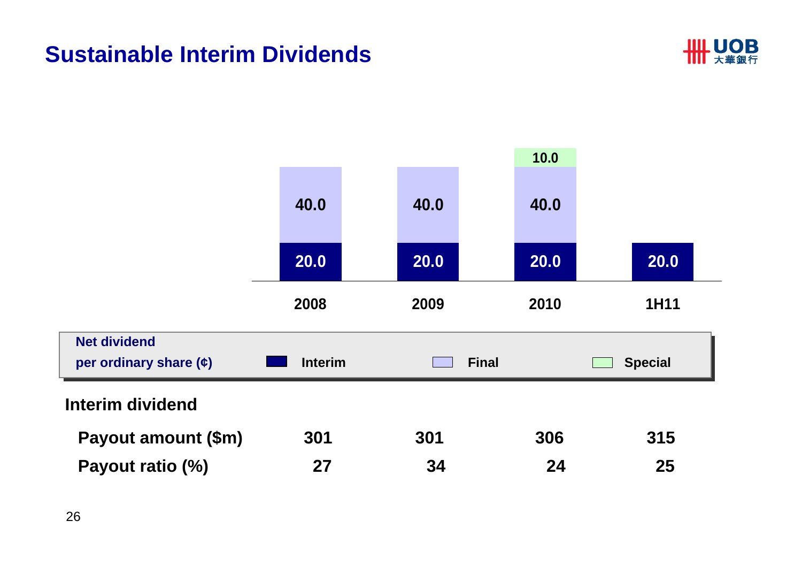#### **Sustainable Interim Dividends**



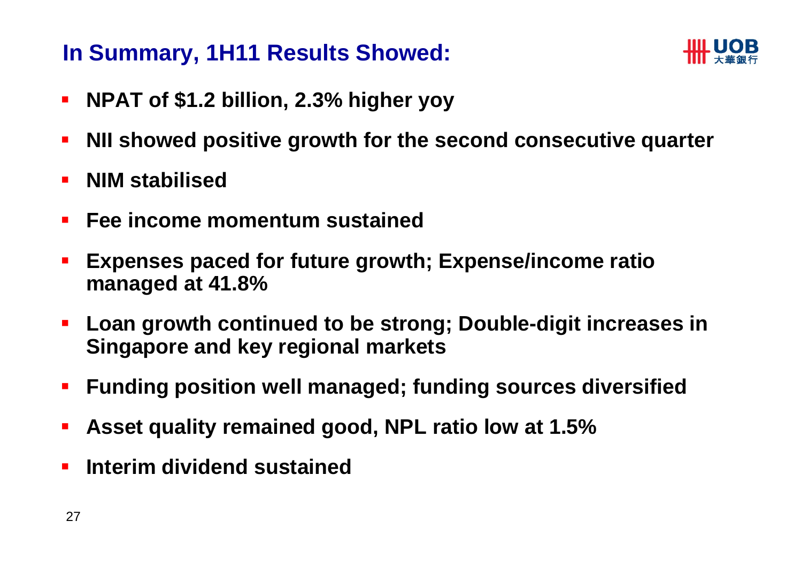#### **In Summary, 1H11 Results Showed:**



- $\blacksquare$ **NPAT of \$1.2 billion, 2.3% higher yoy**
- T. **NII showed positive growth for the second consecutive quarter**
- $\mathcal{L}_{\mathcal{A}}$ **NIM stabilised**
- $\mathcal{L}_{\mathcal{A}}$ **Fee income momentum sustained**
- T. **Expenses paced for future growth; Expense/income ratio managed at 41.8%**
- $\blacksquare$  **Loan growth continued to be strong; Double-digit increases in Singapore and key regional markets**
- **Funding position well managed; funding sources diversified**
- **Service Service Asset quality remained good, NPL ratio low at 1.5%**
- $\overline{\phantom{a}}$ **Interim dividend sustained**